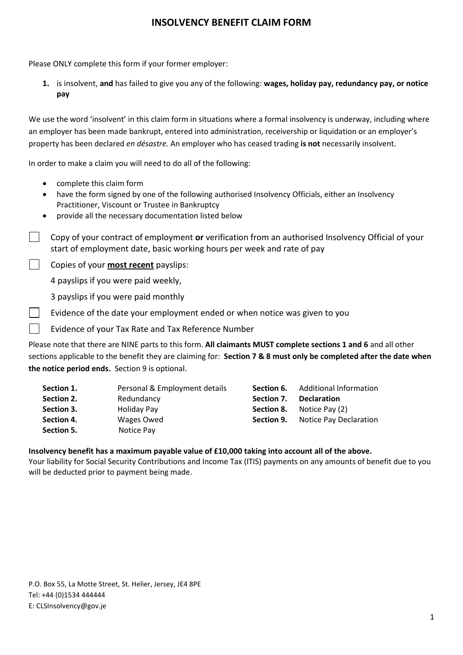Please ONLY complete this form if your former employer:

**1.** is insolvent, **and** has failed to give you any of the following: **wages, holiday pay, redundancy pay, or notice pay**

We use the word 'insolvent' in this claim form in situations where a formal insolvency is underway, including where an employer has been made bankrupt, entered into administration, receivership or liquidation or an employer's property has been declared *en désastre.* An employer who has ceased trading **is not** necessarily insolvent.

In order to make a claim you will need to do all of the following:

- complete this claim form
- have the form signed by one of the following authorised Insolvency Officials, either an Insolvency Practitioner, Viscount or Trustee in Bankruptcy
- provide all the necessary documentation listed below

Copy of your contract of employment **or** verification from an authorised Insolvency Official of your  $\Box$ start of employment date, basic working hours per week and rate of pay

Copies of your **most recent** payslips:

4 payslips if you were paid weekly,

3 payslips if you were paid monthly

- Evidence of the date your employment ended or when notice was given to you
- Evidence of your Tax Rate and Tax Reference Number

Please note that there are NINE parts to this form. **All claimants MUST complete sections 1 and 6** and all other sections applicable to the benefit they are claiming for: **Section 7 & 8 must only be completed after the date when the notice period ends.** Section 9 is optional.

| Section 1. | Personal & Employment details | Section 6. | Additional Information |
|------------|-------------------------------|------------|------------------------|
| Section 2. | Redundancy                    | Section 7. | <b>Declaration</b>     |
| Section 3. | Holiday Pay                   | Section 8. | Notice Pay (2)         |
| Section 4. | Wages Owed                    | Section 9. | Notice Pay Declaration |
| Section 5. | Notice Pay                    |            |                        |

#### **Insolvency benefit has a maximum payable value of £10,000 taking into account all of the above.**

Your liability for Social Security Contributions and Income Tax (ITIS) payments on any amounts of benefit due to you will be deducted prior to payment being made.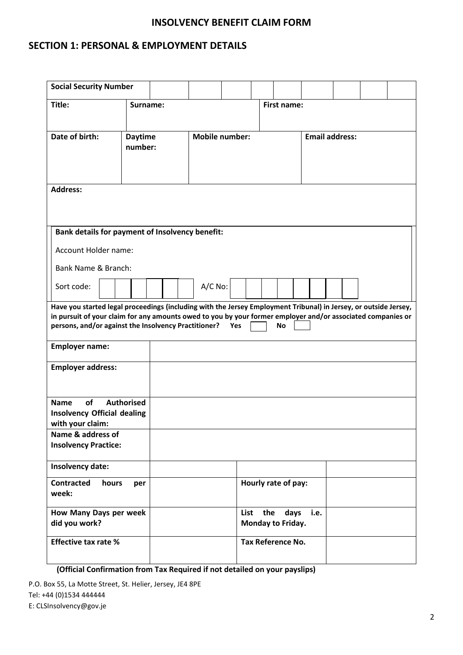### **SECTION 1: PERSONAL & EMPLOYMENT DETAILS**

| <b>Social Security Number</b>                                                                                                                                       |                           |  |                       |     |      |     |                           |      |                       |  |
|---------------------------------------------------------------------------------------------------------------------------------------------------------------------|---------------------------|--|-----------------------|-----|------|-----|---------------------------|------|-----------------------|--|
| Title:                                                                                                                                                              | Surname:                  |  |                       |     |      |     | <b>First name:</b>        |      |                       |  |
|                                                                                                                                                                     |                           |  |                       |     |      |     |                           |      |                       |  |
| Date of birth:                                                                                                                                                      | <b>Daytime</b><br>number: |  | <b>Mobile number:</b> |     |      |     |                           |      | <b>Email address:</b> |  |
|                                                                                                                                                                     |                           |  |                       |     |      |     |                           |      |                       |  |
|                                                                                                                                                                     |                           |  |                       |     |      |     |                           |      |                       |  |
| <b>Address:</b>                                                                                                                                                     |                           |  |                       |     |      |     |                           |      |                       |  |
|                                                                                                                                                                     |                           |  |                       |     |      |     |                           |      |                       |  |
| <b>Bank details for payment of Insolvency benefit:</b>                                                                                                              |                           |  |                       |     |      |     |                           |      |                       |  |
|                                                                                                                                                                     |                           |  |                       |     |      |     |                           |      |                       |  |
| Account Holder name:                                                                                                                                                |                           |  |                       |     |      |     |                           |      |                       |  |
| Bank Name & Branch:                                                                                                                                                 |                           |  |                       |     |      |     |                           |      |                       |  |
| Sort code:                                                                                                                                                          |                           |  | A/C No:               |     |      |     |                           |      |                       |  |
| Have you started legal proceedings (including with the Jersey Employment Tribunal) in Jersey, or outside Jersey,                                                    |                           |  |                       |     |      |     |                           |      |                       |  |
| in pursuit of your claim for any amounts owed to you by your former employer and/or associated companies or<br>persons, and/or against the Insolvency Practitioner? |                           |  |                       | Yes |      |     | <b>No</b>                 |      |                       |  |
| <b>Employer name:</b>                                                                                                                                               |                           |  |                       |     |      |     |                           |      |                       |  |
| <b>Employer address:</b>                                                                                                                                            |                           |  |                       |     |      |     |                           |      |                       |  |
|                                                                                                                                                                     |                           |  |                       |     |      |     |                           |      |                       |  |
| <b>of</b><br><b>Name</b>                                                                                                                                            | <b>Authorised</b>         |  |                       |     |      |     |                           |      |                       |  |
| <b>Insolvency Official dealing</b><br>with your claim:                                                                                                              |                           |  |                       |     |      |     |                           |      |                       |  |
| Name & address of                                                                                                                                                   |                           |  |                       |     |      |     |                           |      |                       |  |
| <b>Insolvency Practice:</b>                                                                                                                                         |                           |  |                       |     |      |     |                           |      |                       |  |
| Insolvency date:                                                                                                                                                    |                           |  |                       |     |      |     |                           |      |                       |  |
| <b>Contracted</b><br>hours<br>week:                                                                                                                                 | per                       |  |                       |     |      |     | Hourly rate of pay:       |      |                       |  |
| How Many Days per week<br>did you work?                                                                                                                             |                           |  |                       |     | List | the | days<br>Monday to Friday. | i.e. |                       |  |
| <b>Effective tax rate %</b>                                                                                                                                         |                           |  |                       |     |      |     | Tax Reference No.         |      |                       |  |

**(Official Confirmation from Tax Required if not detailed on your payslips)**

P.O. Box 55, La Motte Street, St. Helier, Jersey, JE4 8PE Tel: +44 (0)1534 444444

E: CLSInsolvency@gov.je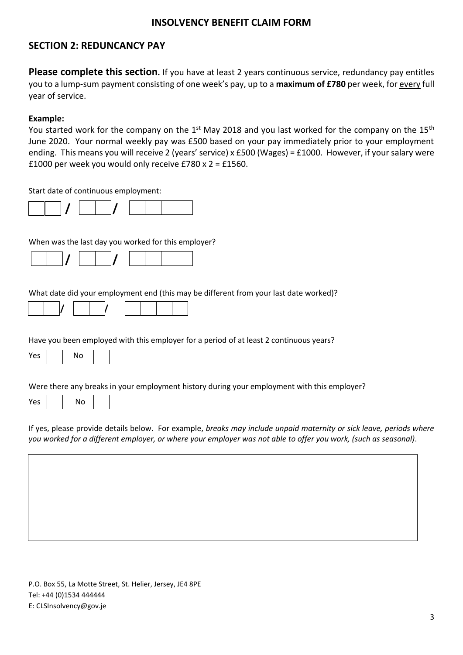# **SECTION 2: REDUNCANCY PAY**

**Please complete this section.** If you have at least 2 years continuous service, redundancy pay entitles you to a lump-sum payment consisting of one week's pay, up to a **maximum of £780** per week, for every full year of service.

#### **Example:**

You started work for the company on the 1<sup>st</sup> May 2018 and you last worked for the company on the 15<sup>th</sup> June 2020. Your normal weekly pay was £500 based on your pay immediately prior to your employment ending. This means you will receive 2 (years' service) x £500 (Wages) = £1000. However, if your salary were £1000 per week you would only receive £780 x 2 = £1560.

Start date of continuous employment:

When was the last day you worked for this employer?

|--|--|--|--|--|--|--|--|

What date did your employment end (this may be different from your last date worked)?

|--|

Have you been employed with this employer for a period of at least 2 continuous years?

| Yes |  | N٥ |  |
|-----|--|----|--|
|-----|--|----|--|

Were there any breaks in your employment history during your employment with this employer?

| Υρς |  | No |
|-----|--|----|
|-----|--|----|

If yes, please provide details below. For example, *breaks may include unpaid maternity or sick leave, periods where you worked for a different employer, or where your employer was not able to offer you work, (such as seasonal)*.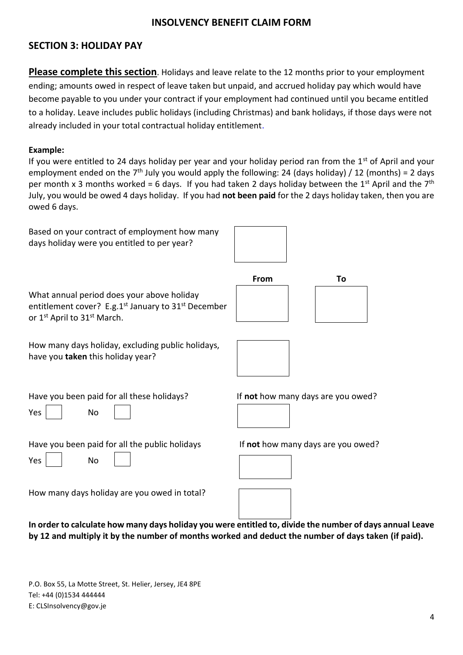# **SECTION 3: HOLIDAY PAY**

**Please complete this section**. Holidays and leave relate to the 12 months prior to your employment ending; amounts owed in respect of leave taken but unpaid, and accrued holiday pay which would have become payable to you under your contract if your employment had continued until you became entitled to a holiday. Leave includes public holidays (including Christmas) and bank holidays, if those days were not already included in your total contractual holiday entitlement.

### **Example:**

If you were entitled to 24 days holiday per year and your holiday period ran from the  $1<sup>st</sup>$  of April and your employment ended on the 7<sup>th</sup> July you would apply the following: 24 (days holiday) / 12 (months) = 2 days per month x 3 months worked = 6 days. If you had taken 2 days holiday between the 1<sup>st</sup> April and the 7<sup>th</sup> July, you would be owed 4 days holiday. If you had **not been paid** for the 2 days holiday taken, then you are owed 6 days.

Based on your contract of employment how many days holiday were you entitled to per year?



|                                                                                                                                                                     | From | Гο |  |
|---------------------------------------------------------------------------------------------------------------------------------------------------------------------|------|----|--|
| What annual period does your above holiday<br>entitlement cover? E.g. $1^{st}$ January to $31^{st}$ December<br>or 1 <sup>st</sup> April to 31 <sup>st</sup> March. |      |    |  |

How many days holiday, excluding public holidays, have you **taken** this holiday year?



Have you been paid for all these holidays? If **not** how many days are you owed?

Yes No

Have you been paid for all the public holidays If **not** how many days are you owed?

Yes No





How many days holiday are you owed in total?

**In order to calculate how many days holiday you were entitled to, divide the number of days annual Leave by 12 and multiply it by the number of months worked and deduct the number of days taken (if paid).**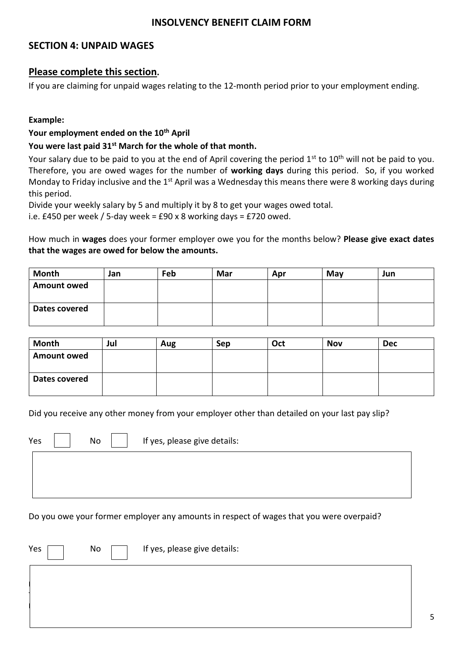# **SECTION 4: UNPAID WAGES**

### **Please complete this section.**

If you are claiming for unpaid wages relating to the 12-month period prior to your employment ending.

### **Example:**

### **Your employment ended on the 10th April**

### **You were last paid 31st March for the whole of that month.**

Your salary due to be paid to you at the end of April covering the period 1<sup>st</sup> to 10<sup>th</sup> will not be paid to vou. Therefore, you are owed wages for the number of **working days** during this period. So, if you worked Monday to Friday inclusive and the 1<sup>st</sup> April was a Wednesday this means there were 8 working days during this period.

Divide your weekly salary by 5 and multiply it by 8 to get your wages owed total.

i.e. £450 per week / 5-day week = £90 x 8 working days = £720 owed.

How much in **wages** does your former employer owe you for the months below? **Please give exact dates that the wages are owed for below the amounts.**

| Month              | Jan | Feb | Mar | Apr | May | Jun |
|--------------------|-----|-----|-----|-----|-----|-----|
| <b>Amount owed</b> |     |     |     |     |     |     |
| Dates covered      |     |     |     |     |     |     |

| Month              | Jul | Aug | Sep | Oct | <b>Nov</b> | <b>Dec</b> |
|--------------------|-----|-----|-----|-----|------------|------------|
| <b>Amount owed</b> |     |     |     |     |            |            |
|                    |     |     |     |     |            |            |
| Dates covered      |     |     |     |     |            |            |
|                    |     |     |     |     |            |            |

Did you receive any other money from your employer other than detailed on your last pay slip?

| Yes | No | If yes, please give details: |
|-----|----|------------------------------|
|     |    |                              |

Do you owe your former employer any amounts in respect of wages that you were overpaid?

| Yes | No | If yes, please give details: |
|-----|----|------------------------------|
|     |    |                              |
|     |    |                              |
|     |    |                              |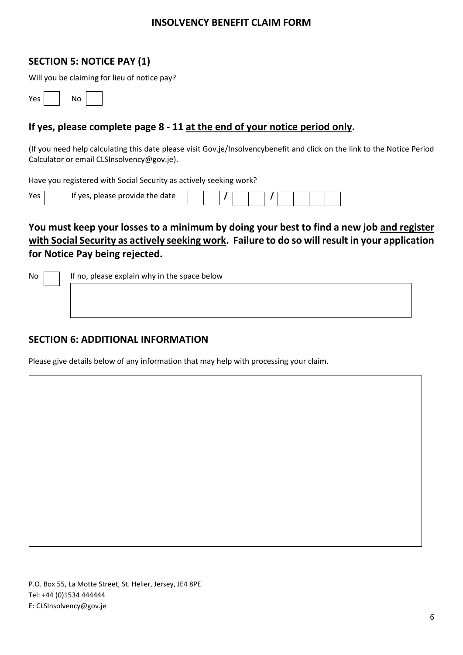# **SECTION 5: NOTICE PAY (1)**

Will you be claiming for lieu of notice pay?

| Yes | N٥ |  |
|-----|----|--|
|-----|----|--|

# **If yes, please complete page 8 - 11 at the end of your notice period only.**

(If you need help calculating this date please visit Gov.je/Insolvencybenefit and click on the link to the Notice Period Calculator or email CLSInsolvency@gov.je).

Have you registered with Social Security as actively seeking work?

| If yes, please provide the date |  |  |  |  |
|---------------------------------|--|--|--|--|
|                                 |  |  |  |  |

# **You must keep your losses to a minimum by doing your best to find a new job and register with Social Security as actively seeking work. Failure to do so will result in your application for Notice Pay being rejected.**

 $No \frown$  If no, please explain why in the space below

### **SECTION 6: ADDITIONAL INFORMATION**

Please give details below of any information that may help with processing your claim.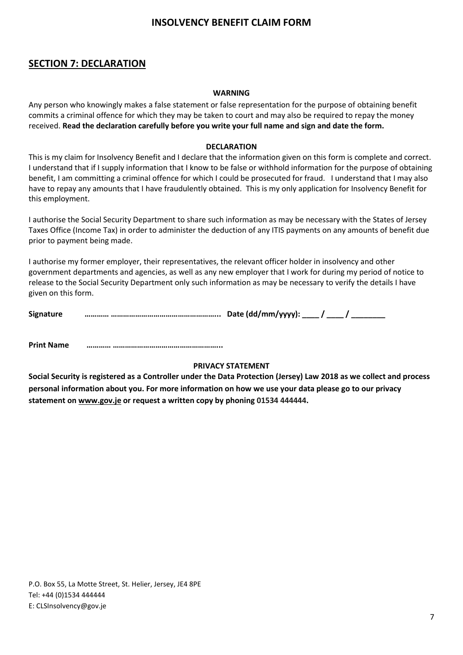# **SECTION 7: DECLARATION**

#### **WARNING**

Any person who knowingly makes a false statement or false representation for the purpose of obtaining benefit commits a criminal offence for which they may be taken to court and may also be required to repay the money received. **Read the declaration carefully before you write your full name and sign and date the form.**

#### **DECLARATION**

This is my claim for Insolvency Benefit and I declare that the information given on this form is complete and correct. I understand that if I supply information that I know to be false or withhold information for the purpose of obtaining benefit, I am committing a criminal offence for which I could be prosecuted for fraud. I understand that I may also have to repay any amounts that I have fraudulently obtained. This is my only application for Insolvency Benefit for this employment.

I authorise the Social Security Department to share such information as may be necessary with the States of Jersey Taxes Office (Income Tax) in order to administer the deduction of any ITIS payments on any amounts of benefit due prior to payment being made.

I authorise my former employer, their representatives, the relevant officer holder in insolvency and other government departments and agencies, as well as any new employer that I work for during my period of notice to release to the Social Security Department only such information as may be necessary to verify the details I have given on this form.

| <b>Signature</b> | Date (dd/mm/yyyy): $\frac{1}{2}$ . |  |
|------------------|------------------------------------|--|
|                  |                                    |  |

**Print Name ………… ……………………………………………...**

#### **PRIVACY STATEMENT**

**Social Security is registered as a Controller under the Data Protection (Jersey) Law 2018 as we collect and process personal information about you. For more information on how we use your data please go to our privacy statement on www.gov.je or request a written copy by phoning [01534 444](tel:+441534445505)444.**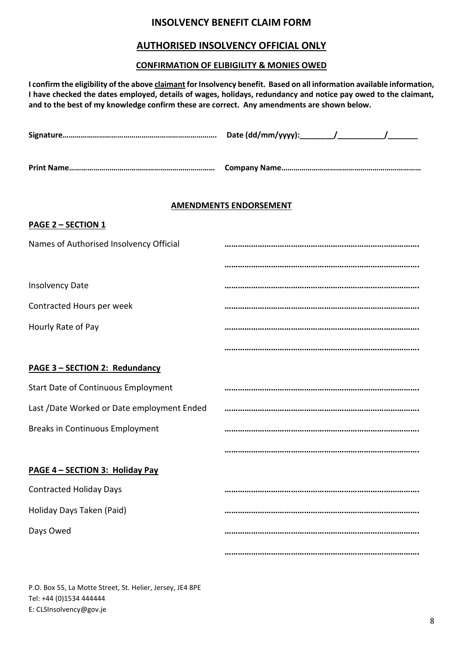### **AUTHORISED INSOLVENCY OFFICIAL ONLY**

### **CONFIRMATION OF ELIBIGILITY & MONIES OWED**

**I confirm the eligibility of the above claimant for Insolvency benefit. Based on all information available information, I have checked the dates employed, details of wages, holidays, redundancy and notice pay owed to the claimant, and to the best of my knowledge confirm these are correct. Any amendments are shown below.**

|                                            | <b>AMENDMENTS ENDORSEMENT</b> |
|--------------------------------------------|-------------------------------|
| <b>PAGE 2 - SECTION 1</b>                  |                               |
| Names of Authorised Insolvency Official    |                               |
|                                            |                               |
| <b>Insolvency Date</b>                     |                               |
| Contracted Hours per week                  |                               |
| Hourly Rate of Pay                         |                               |
|                                            |                               |
| PAGE 3 - SECTION 2: Redundancy             |                               |
| <b>Start Date of Continuous Employment</b> |                               |
| Last /Date Worked or Date employment Ended |                               |
| <b>Breaks in Continuous Employment</b>     |                               |
|                                            |                               |
| PAGE 4 - SECTION 3: Holiday Pay            |                               |
| <b>Contracted Holiday Days</b>             |                               |
| Holiday Days Taken (Paid)                  |                               |
| Days Owed                                  |                               |
|                                            |                               |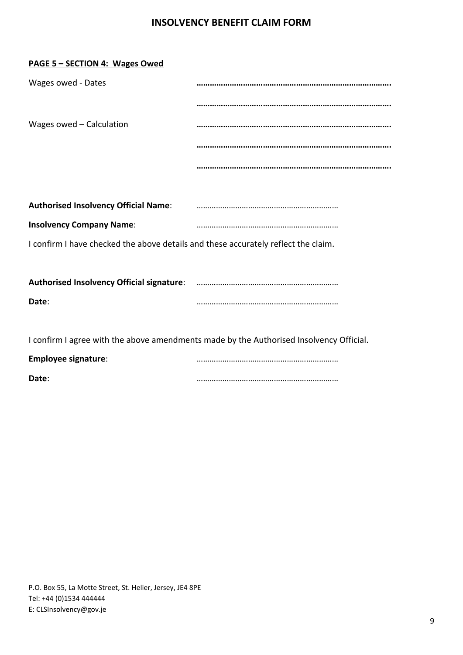| PAGE 5 - SECTION 4: Wages Owed                                                     |                                                                                         |
|------------------------------------------------------------------------------------|-----------------------------------------------------------------------------------------|
| Wages owed - Dates                                                                 |                                                                                         |
|                                                                                    |                                                                                         |
| Wages owed - Calculation                                                           |                                                                                         |
|                                                                                    |                                                                                         |
|                                                                                    |                                                                                         |
|                                                                                    |                                                                                         |
| <b>Authorised Insolvency Official Name:</b>                                        |                                                                                         |
| <b>Insolvency Company Name:</b>                                                    |                                                                                         |
| I confirm I have checked the above details and these accurately reflect the claim. |                                                                                         |
|                                                                                    |                                                                                         |
|                                                                                    |                                                                                         |
| Date:                                                                              |                                                                                         |
|                                                                                    |                                                                                         |
|                                                                                    | I confirm I agree with the above amendments made by the Authorised Insolvency Official. |
| <b>Employee signature:</b>                                                         |                                                                                         |
| Date:                                                                              |                                                                                         |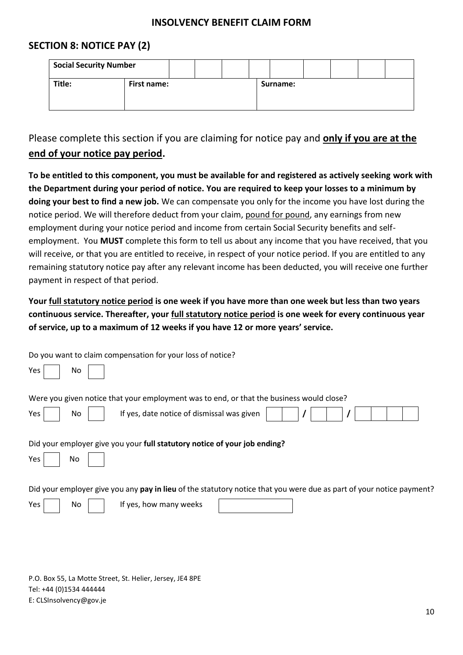# **SECTION 8: NOTICE PAY (2)**

| <b>Social Security Number</b> |             |  |  |          |  |  |
|-------------------------------|-------------|--|--|----------|--|--|
| Title:                        | First name: |  |  | Surname: |  |  |

Please complete this section if you are claiming for notice pay and **only if you are at the end of your notice pay period.** 

**To be entitled to this component, you must be available for and registered as actively seeking work with the Department during your period of notice. You are required to keep your losses to a minimum by doing your best to find a new job.** We can compensate you only for the income you have lost during the notice period. We will therefore deduct from your claim, pound for pound, any earnings from new employment during your notice period and income from certain Social Security benefits and selfemployment.You **MUST** complete this form to tell us about any income that you have received, that you will receive, or that you are entitled to receive, in respect of your notice period. If you are entitled to any remaining statutory notice pay after any relevant income has been deducted, you will receive one further payment in respect of that period.

**Your full statutory notice period is one week if you have more than one week but less than two years continuous service. Thereafter, your full statutory notice period is one week for every continuous year of service, up to a maximum of 12 weeks if you have 12 or more years' service.**

| Do you want to claim compensation for your loss of notice?                                                           |
|----------------------------------------------------------------------------------------------------------------------|
| Yes<br>No.                                                                                                           |
| Were you given notice that your employment was to end, or that the business would close?                             |
| If yes, date notice of dismissal was given<br>Yes<br>No                                                              |
| Did your employer give you your full statutory notice of your job ending?                                            |
| Yes<br>No                                                                                                            |
| Did your employer give you any pay in lieu of the statutory notice that you were due as part of your notice payment? |
| Yes<br>If yes, how many weeks<br>No.                                                                                 |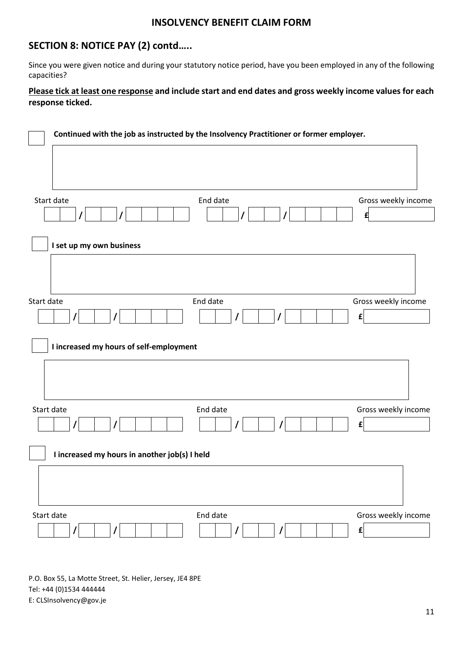# **SECTION 8: NOTICE PAY (2) contd…..**

Since you were given notice and during your statutory notice period, have you been employed in any of the following capacities?

### **Please tick at least one response and include start and end dates and gross weekly income values for each response ticked.**

|                                               | Continued with the job as instructed by the Insolvency Practitioner or former employer. |                     |
|-----------------------------------------------|-----------------------------------------------------------------------------------------|---------------------|
|                                               |                                                                                         |                     |
|                                               |                                                                                         |                     |
| Start date                                    | End date                                                                                | Gross weekly income |
|                                               |                                                                                         | £                   |
| I set up my own business                      |                                                                                         |                     |
|                                               |                                                                                         |                     |
| Start date                                    | End date                                                                                | Gross weekly income |
|                                               |                                                                                         | $\mathbf{f}$        |
| I increased my hours of self-employment       |                                                                                         |                     |
|                                               |                                                                                         |                     |
| Start date                                    | End date                                                                                | Gross weekly income |
| $\prime$<br>$\prime$                          |                                                                                         | $\mathbf{f}$        |
| I increased my hours in another job(s) I held |                                                                                         |                     |
|                                               |                                                                                         |                     |
| Start date                                    | End date                                                                                | Gross weekly income |
| 7                                             |                                                                                         | $\mathbf{f}$        |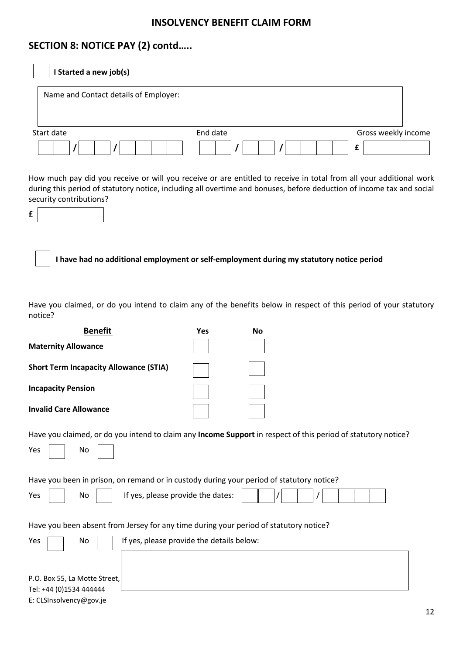# **SECTION 8: NOTICE PAY (2) contd…..**

| I Started a new job(s)                                                                                                                                                                                                                                                                                                                                                  |          |    |  |   |                     |
|-------------------------------------------------------------------------------------------------------------------------------------------------------------------------------------------------------------------------------------------------------------------------------------------------------------------------------------------------------------------------|----------|----|--|---|---------------------|
| Name and Contact details of Employer:                                                                                                                                                                                                                                                                                                                                   |          |    |  |   |                     |
| Start date                                                                                                                                                                                                                                                                                                                                                              | End date |    |  |   | Gross weekly income |
|                                                                                                                                                                                                                                                                                                                                                                         |          |    |  | £ |                     |
| How much pay did you receive or will you receive or are entitled to receive in total from all your additional work<br>during this period of statutory notice, including all overtime and bonuses, before deduction of income tax and social<br>security contributions?<br>£<br>I have had no additional employment or self-employment during my statutory notice period |          |    |  |   |                     |
| Have you claimed, or do you intend to claim any of the benefits below in respect of this period of your statutory<br>notice?<br><b>Benefit</b>                                                                                                                                                                                                                          | Yes      | No |  |   |                     |
| <b>Maternity Allowance</b>                                                                                                                                                                                                                                                                                                                                              |          |    |  |   |                     |
| <b>Short Term Incapacity Allowance (STIA)</b>                                                                                                                                                                                                                                                                                                                           |          |    |  |   |                     |
| <b>Incapacity Pension</b>                                                                                                                                                                                                                                                                                                                                               |          |    |  |   |                     |
| <b>Invalid Care Allowance</b>                                                                                                                                                                                                                                                                                                                                           |          |    |  |   |                     |
| Have you claimed, or do you intend to claim any Income Support in respect of this period of statutory notice?<br>No<br>Yes                                                                                                                                                                                                                                              |          |    |  |   |                     |
| Have you been in prison, on remand or in custody during your period of statutory notice?                                                                                                                                                                                                                                                                                |          |    |  |   |                     |
| If yes, please provide the dates:<br>No<br>Yes                                                                                                                                                                                                                                                                                                                          |          |    |  |   |                     |
| Have you been absent from Jersey for any time during your period of statutory notice?                                                                                                                                                                                                                                                                                   |          |    |  |   |                     |
| If yes, please provide the details below:<br>Yes<br>No                                                                                                                                                                                                                                                                                                                  |          |    |  |   |                     |

| P.O. Box 55, La Motte Street, |  |
|-------------------------------|--|
| Tel: +44 (0)1534 444444       |  |
| E: CLSInsolvency@gov.je       |  |